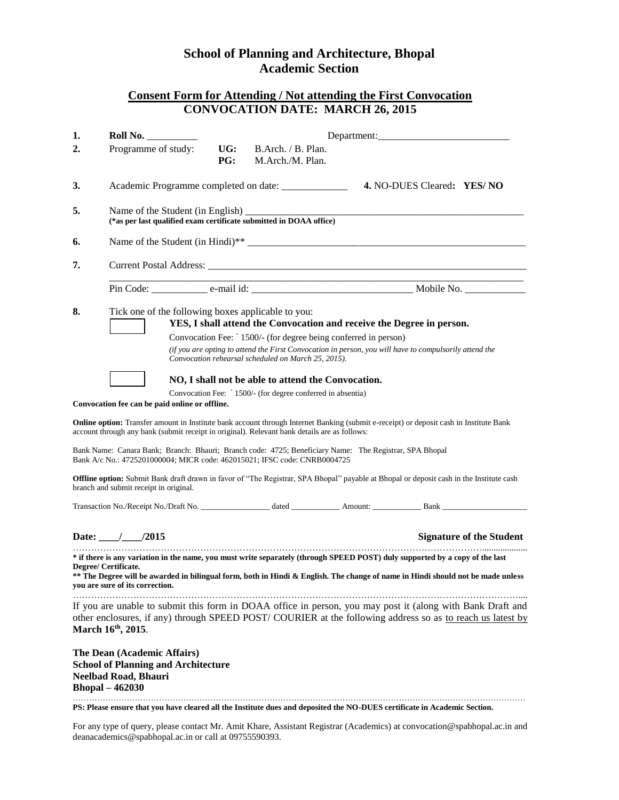## **School of Planning and Architecture, Bhopal Academic Section**

## **Consent Form for Attending / Not attending the First Convocation CONVOCATION DATE: MARCH 26, 2015**

| 1.                                                                                                                                                                                                                                                                                                                                                                                                                                                                                                                                                                                                                                                                                                                                                                                                                                                                                                                                                                                                                                                                                                                                                                  | Roll No.                                                                                                                                                                                                                                                                                                                   |                   |                                        | Department: |  |                                 |  |
|---------------------------------------------------------------------------------------------------------------------------------------------------------------------------------------------------------------------------------------------------------------------------------------------------------------------------------------------------------------------------------------------------------------------------------------------------------------------------------------------------------------------------------------------------------------------------------------------------------------------------------------------------------------------------------------------------------------------------------------------------------------------------------------------------------------------------------------------------------------------------------------------------------------------------------------------------------------------------------------------------------------------------------------------------------------------------------------------------------------------------------------------------------------------|----------------------------------------------------------------------------------------------------------------------------------------------------------------------------------------------------------------------------------------------------------------------------------------------------------------------------|-------------------|----------------------------------------|-------------|--|---------------------------------|--|
| 2.                                                                                                                                                                                                                                                                                                                                                                                                                                                                                                                                                                                                                                                                                                                                                                                                                                                                                                                                                                                                                                                                                                                                                                  | Programme of study:                                                                                                                                                                                                                                                                                                        | UG:<br><b>PG:</b> | B.Arch. / B. Plan.<br>M.Arch./M. Plan. |             |  |                                 |  |
| 3.                                                                                                                                                                                                                                                                                                                                                                                                                                                                                                                                                                                                                                                                                                                                                                                                                                                                                                                                                                                                                                                                                                                                                                  |                                                                                                                                                                                                                                                                                                                            |                   |                                        |             |  |                                 |  |
| 5.                                                                                                                                                                                                                                                                                                                                                                                                                                                                                                                                                                                                                                                                                                                                                                                                                                                                                                                                                                                                                                                                                                                                                                  | (*as per last qualified exam certificate submitted in DOAA office)                                                                                                                                                                                                                                                         |                   |                                        |             |  |                                 |  |
| 6.                                                                                                                                                                                                                                                                                                                                                                                                                                                                                                                                                                                                                                                                                                                                                                                                                                                                                                                                                                                                                                                                                                                                                                  |                                                                                                                                                                                                                                                                                                                            |                   |                                        |             |  |                                 |  |
| 7.                                                                                                                                                                                                                                                                                                                                                                                                                                                                                                                                                                                                                                                                                                                                                                                                                                                                                                                                                                                                                                                                                                                                                                  |                                                                                                                                                                                                                                                                                                                            |                   |                                        |             |  |                                 |  |
|                                                                                                                                                                                                                                                                                                                                                                                                                                                                                                                                                                                                                                                                                                                                                                                                                                                                                                                                                                                                                                                                                                                                                                     |                                                                                                                                                                                                                                                                                                                            |                   |                                        |             |  |                                 |  |
| 8.<br>Tick one of the following boxes applicable to you:<br>YES, I shall attend the Convocation and receive the Degree in person.<br>Convocation Fee: ` 1500/- (for degree being conferred in person)<br>(if you are opting to attend the First Convocation in person, you will have to compulsorily attend the<br>Convocation rehearsal scheduled on March 25, 2015).<br>NO, I shall not be able to attend the Convocation.<br>Convocation Fee: `1500/- (for degree conferred in absentia)<br>Convocation fee can be paid online or offline.<br>Online option: Transfer amount in Institute bank account through Internet Banking (submit e-receipt) or deposit cash in Institute Bank<br>account through any bank (submit receipt in original). Relevant bank details are as follows:<br>Bank Name: Canara Bank; Branch: Bhauri; Branch code: 4725; Beneficiary Name: The Registrar, SPA Bhopal<br>Bank A/c No.: 4725201000004; MICR code: 462015021; IFSC code: CNRB0004725<br>Offline option: Submit Bank draft drawn in favor of "The Registrar, SPA Bhopal" payable at Bhopal or deposit cash in the Institute cash<br>branch and submit receipt in original. |                                                                                                                                                                                                                                                                                                                            |                   |                                        |             |  |                                 |  |
|                                                                                                                                                                                                                                                                                                                                                                                                                                                                                                                                                                                                                                                                                                                                                                                                                                                                                                                                                                                                                                                                                                                                                                     | Date: $\frac{1}{2015}$                                                                                                                                                                                                                                                                                                     |                   |                                        |             |  | <b>Signature of the Student</b> |  |
|                                                                                                                                                                                                                                                                                                                                                                                                                                                                                                                                                                                                                                                                                                                                                                                                                                                                                                                                                                                                                                                                                                                                                                     | * if there is any variation in the name, you must write separately (through SPEED POST) duly supported by a copy of the last<br>Degree/ Certificate.<br>** The Degree will be awarded in bilingual form, both in Hindi & English. The change of name in Hindi should not be made unless<br>you are sure of its correction. |                   |                                        |             |  |                                 |  |
|                                                                                                                                                                                                                                                                                                                                                                                                                                                                                                                                                                                                                                                                                                                                                                                                                                                                                                                                                                                                                                                                                                                                                                     | If you are unable to submit this form in DOAA office in person, you may post it (along with Bank Draft and<br>other enclosures, if any) through SPEED POST/COURIER at the following address so as to reach us latest by<br>March 16th, 2015.                                                                               |                   |                                        |             |  |                                 |  |
|                                                                                                                                                                                                                                                                                                                                                                                                                                                                                                                                                                                                                                                                                                                                                                                                                                                                                                                                                                                                                                                                                                                                                                     | The Dean (Academic Affairs)<br><b>School of Planning and Architecture</b><br><b>Neelbad Road, Bhauri</b><br><b>Bhopal - 462030</b>                                                                                                                                                                                         |                   |                                        |             |  |                                 |  |

**PS: Please ensure that you have cleared all the Institute dues and deposited the NO-DUES certificate in Academic Section.**

For any type of query, please contact Mr. Amit Khare, Assistant Registrar (Academics) at convocation@spabhopal.ac.in and deanacademics@spabhopal.ac.in or call at 09755590393.